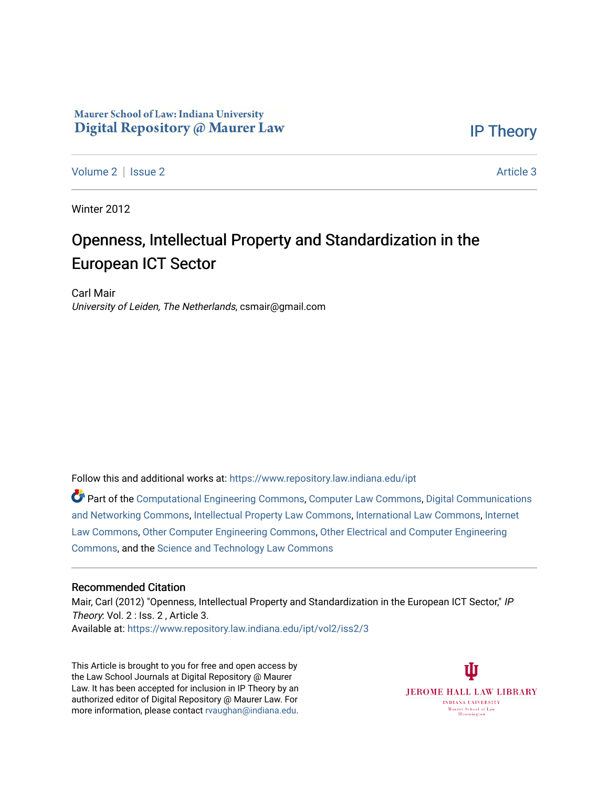## Maurer School of Law: Indiana University Digital Repository @ Maurer Law

[IP Theory](https://www.repository.law.indiana.edu/ipt) 

[Volume 2](https://www.repository.law.indiana.edu/ipt/vol2) | [Issue 2](https://www.repository.law.indiana.edu/ipt/vol2/iss2) Article 3

Winter 2012

# Openness, Intellectual Property and Standardization in the European ICT Sector

Carl Mair University of Leiden, The Netherlands, csmair@gmail.com

Follow this and additional works at: [https://www.repository.law.indiana.edu/ipt](https://www.repository.law.indiana.edu/ipt?utm_source=www.repository.law.indiana.edu%2Fipt%2Fvol2%2Fiss2%2F3&utm_medium=PDF&utm_campaign=PDFCoverPages) 

Part of the [Computational Engineering Commons](http://network.bepress.com/hgg/discipline/311?utm_source=www.repository.law.indiana.edu%2Fipt%2Fvol2%2Fiss2%2F3&utm_medium=PDF&utm_campaign=PDFCoverPages), [Computer Law Commons](http://network.bepress.com/hgg/discipline/837?utm_source=www.repository.law.indiana.edu%2Fipt%2Fvol2%2Fiss2%2F3&utm_medium=PDF&utm_campaign=PDFCoverPages), [Digital Communications](http://network.bepress.com/hgg/discipline/262?utm_source=www.repository.law.indiana.edu%2Fipt%2Fvol2%2Fiss2%2F3&utm_medium=PDF&utm_campaign=PDFCoverPages)  [and Networking Commons,](http://network.bepress.com/hgg/discipline/262?utm_source=www.repository.law.indiana.edu%2Fipt%2Fvol2%2Fiss2%2F3&utm_medium=PDF&utm_campaign=PDFCoverPages) [Intellectual Property Law Commons,](http://network.bepress.com/hgg/discipline/896?utm_source=www.repository.law.indiana.edu%2Fipt%2Fvol2%2Fiss2%2F3&utm_medium=PDF&utm_campaign=PDFCoverPages) [International Law Commons](http://network.bepress.com/hgg/discipline/609?utm_source=www.repository.law.indiana.edu%2Fipt%2Fvol2%2Fiss2%2F3&utm_medium=PDF&utm_campaign=PDFCoverPages), [Internet](http://network.bepress.com/hgg/discipline/892?utm_source=www.repository.law.indiana.edu%2Fipt%2Fvol2%2Fiss2%2F3&utm_medium=PDF&utm_campaign=PDFCoverPages)  [Law Commons,](http://network.bepress.com/hgg/discipline/892?utm_source=www.repository.law.indiana.edu%2Fipt%2Fvol2%2Fiss2%2F3&utm_medium=PDF&utm_campaign=PDFCoverPages) [Other Computer Engineering Commons,](http://network.bepress.com/hgg/discipline/265?utm_source=www.repository.law.indiana.edu%2Fipt%2Fvol2%2Fiss2%2F3&utm_medium=PDF&utm_campaign=PDFCoverPages) [Other Electrical and Computer Engineering](http://network.bepress.com/hgg/discipline/278?utm_source=www.repository.law.indiana.edu%2Fipt%2Fvol2%2Fiss2%2F3&utm_medium=PDF&utm_campaign=PDFCoverPages)  [Commons](http://network.bepress.com/hgg/discipline/278?utm_source=www.repository.law.indiana.edu%2Fipt%2Fvol2%2Fiss2%2F3&utm_medium=PDF&utm_campaign=PDFCoverPages), and the [Science and Technology Law Commons](http://network.bepress.com/hgg/discipline/875?utm_source=www.repository.law.indiana.edu%2Fipt%2Fvol2%2Fiss2%2F3&utm_medium=PDF&utm_campaign=PDFCoverPages)

#### Recommended Citation

Mair, Carl (2012) "Openness, Intellectual Property and Standardization in the European ICT Sector," IP Theory: Vol. 2 : Iss. 2, Article 3. Available at: [https://www.repository.law.indiana.edu/ipt/vol2/iss2/3](https://www.repository.law.indiana.edu/ipt/vol2/iss2/3?utm_source=www.repository.law.indiana.edu%2Fipt%2Fvol2%2Fiss2%2F3&utm_medium=PDF&utm_campaign=PDFCoverPages) 

This Article is brought to you for free and open access by the Law School Journals at Digital Repository @ Maurer Law. It has been accepted for inclusion in IP Theory by an authorized editor of Digital Repository @ Maurer Law. For more information, please contact [rvaughan@indiana.edu](mailto:rvaughan@indiana.edu).

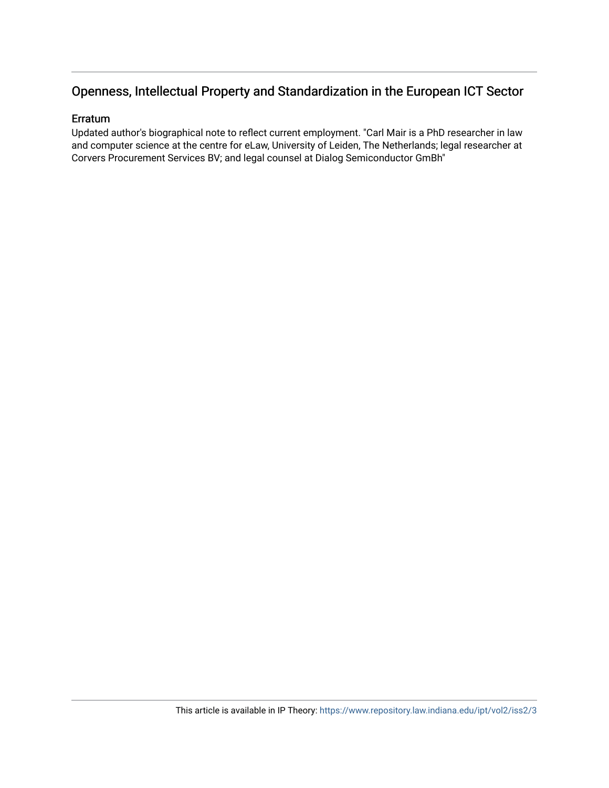# Openness, Intellectual Property and Standardization in the European ICT Sector

### Erratum

Updated author's biographical note to reflect current employment. "Carl Mair is a PhD researcher in law and computer science at the centre for eLaw, University of Leiden, The Netherlands; legal researcher at Corvers Procurement Services BV; and legal counsel at Dialog Semiconductor GmBh"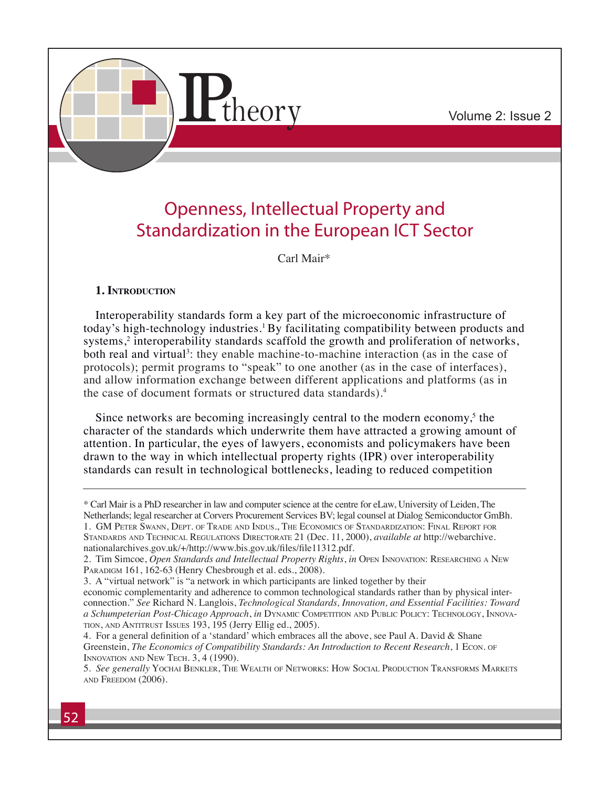

# Openness, Intellectual Property and Standardization in the European ICT Sector

Carl Mair\*

## **1. Introduction**

Interoperability standards form a key part of the microeconomic infrastructure of today's high-technology industries.<sup>1</sup> By facilitating compatibility between products and systems,<sup>2</sup> interoperability standards scaffold the growth and proliferation of networks, both real and virtual<sup>3</sup>: they enable machine-to-machine interaction (as in the case of protocols); permit programs to "speak" to one another (as in the case of interfaces), and allow information exchange between different applications and platforms (as in the case of document formats or structured data standards).4

Since networks are becoming increasingly central to the modern economy,<sup>5</sup> the character of the standards which underwrite them have attracted a growing amount of attention. In particular, the eyes of lawyers, economists and policymakers have been drawn to the way in which intellectual property rights (IPR) over interoperability standards can result in technological bottlenecks, leading to reduced competition

tion, and Antitrust Issues 193, 195 (Jerry Ellig ed., 2005).

4. For a general definition of a 'standard' which embraces all the above, see Paul A. David & Shane Greenstein, *The Economics of Compatibility Standards: An Introduction to Recent Research*, 1 Econ. of INNOVATION AND NEW TECH. 3, 4 (1990).

<sup>\*</sup> Carl Mair is a PhD researcher in law and computer science at the centre for eLaw, University of Leiden, The Netherlands; legal researcher at Corvers Procurement Services BV; legal counsel at Dialog Semiconductor GmBh. 1. GM Peter Swann, Dept. of Trade and Indus., The Economics of Standardization: Final Report for Standards and Technical Regulations Directorate 21 (Dec. 11, 2000), *available at* http://webarchive. nationalarchives.gov.uk/+/http://www.bis.gov.uk/files/file11312.pdf.

<sup>2.</sup> Tim Simcoe, *Open Standards and Intellectual Property Rights*, *in* Open Innovation: Researching <sup>a</sup> New PARADIGM 161, 162-63 (Henry Chesbrough et al. eds., 2008).

<sup>3.</sup> A "virtual network" is "a network in which participants are linked together by their economic complementarity and adherence to common technological standards rather than by physical interconnection." *See* Richard N. Langlois, *Technological Standards, Innovation, and Essential Facilities: Toward a Schumpeterian Post-Chicago Approach*, *in* Dynamic Competition and Public Policy: Technology, Innova-

<sup>5.</sup> *See generally* Yochai Benkler, The Wealth of Networks: How Social Production Transforms Markets and Freedom (2006).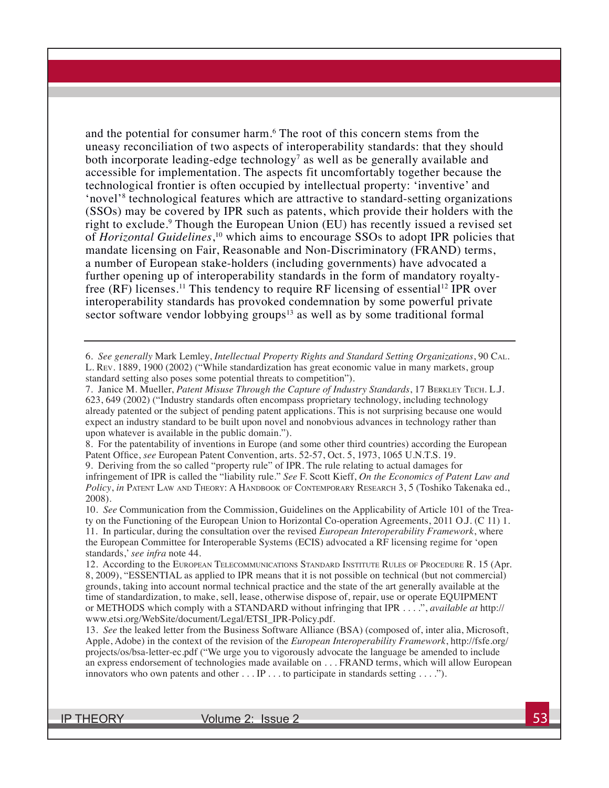and the potential for consumer harm.<sup>6</sup> The root of this concern stems from the uneasy reconciliation of two aspects of interoperability standards: that they should both incorporate leading-edge technology<sup>7</sup> as well as be generally available and accessible for implementation. The aspects fit uncomfortably together because the technological frontier is often occupied by intellectual property: 'inventive' and 'novel'<sup>8</sup> technological features which are attractive to standard-setting organizations (SSOs) may be covered by IPR such as patents, which provide their holders with the right to exclude.<sup>9</sup> Though the European Union (EU) has recently issued a revised set of *Horizontal Guidelines*, 10 which aims to encourage SSOs to adopt IPR policies that mandate licensing on Fair, Reasonable and Non-Discriminatory (FRAND) terms, a number of European stake-holders (including governments) have advocated a further opening up of interoperability standards in the form of mandatory royaltyfree  $(RF)$  licenses.<sup>11</sup> This tendency to require RF licensing of essential<sup>12</sup> IPR over interoperability standards has provoked condemnation by some powerful private sector software vendor lobbying groups<sup>13</sup> as well as by some traditional formal

6. *See generally* Mark Lemley, *Intellectual Property Rights and Standard Setting Organizations*, 90 Cal. L. Rev. 1889, 1900 (2002) ("While standardization has great economic value in many markets, group standard setting also poses some potential threats to competition").

7. Janice M. Mueller, *Patent Misuse Through the Capture of Industry Standards*, 17 Berkley Tech. L.J. 623, 649 (2002) ("Industry standards often encompass proprietary technology, including technology already patented or the subject of pending patent applications. This is not surprising because one would expect an industry standard to be built upon novel and nonobvious advances in technology rather than upon whatever is available in the public domain.").

8. For the patentability of inventions in Europe (and some other third countries) according the European Patent Office, *see* European Patent Convention, arts. 52-57, Oct. 5, 1973, 1065 U.N.T.S. 19.

9. Deriving from the so called "property rule" of IPR. The rule relating to actual damages for infringement of IPR is called the "liability rule." *See* F. Scott Kieff, *On the Economics of Patent Law and*  Policy, *in* PATENT LAW AND THEORY: A HANDBOOK OF CONTEMPORARY RESEARCH 3, 5 (Toshiko Takenaka ed., 2008).

10. *See* Communication from the Commission, Guidelines on the Applicability of Article 101 of the Treaty on the Functioning of the European Union to Horizontal Co-operation Agreements, 2011 O.J. (C 11) 1. 11. In particular, during the consultation over the revised *European Interoperability Framework*, where the European Committee for Interoperable Systems (ECIS) advocated a RF licensing regime for 'open standards,' *see infra* note 44.

12. According to the European Telecommunications Standard Institute Rules of Procedure R. 15 (Apr. 8, 2009), "ESSENTIAL as applied to IPR means that it is not possible on technical (but not commercial) grounds, taking into account normal technical practice and the state of the art generally available at the time of standardization, to make, sell, lease, otherwise dispose of, repair, use or operate EQUIPMENT or METHODS which comply with a STANDARD without infringing that IPR . . . .", *available at* http:// www.etsi.org/WebSite/document/Legal/ETSI\_IPR-Policy.pdf.

13. *See* the leaked letter from the Business Software Alliance (BSA) (composed of, inter alia, Microsoft, Apple, Adobe) in the context of the revision of the *European Interoperability Framework*, http://fsfe.org/ projects/os/bsa-letter-ec.pdf ("We urge you to vigorously advocate the language be amended to include an express endorsement of technologies made available on . . . FRAND terms, which will allow European innovators who own patents and other . . . IP . . . to participate in standards setting . . . .").

IP THEORY  $V$  volume 2: Issue 2  $\sim$  53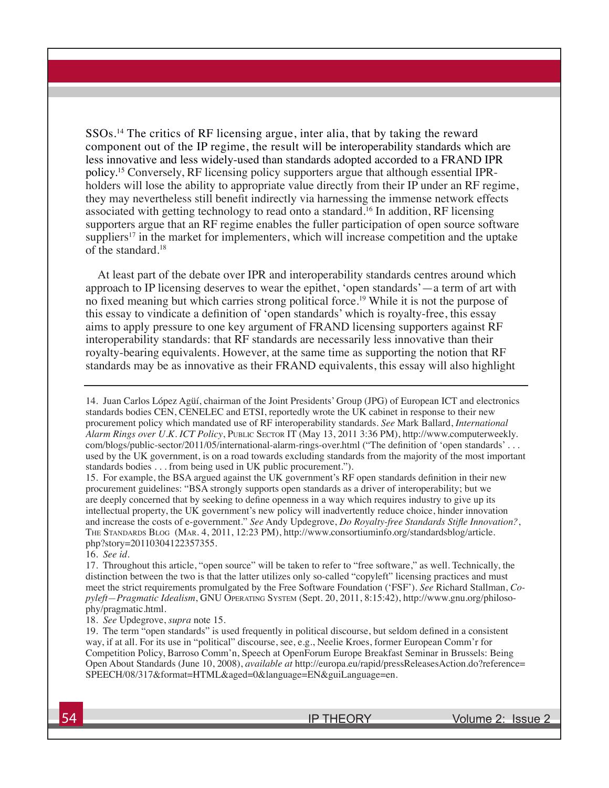SSOs.14 The critics of RF licensing argue, inter alia, that by taking the reward component out of the IP regime, the result will be interoperability standards which are less innovative and less widely-used than standards adopted accorded to a FRAND IPR policy.15 Conversely, RF licensing policy supporters argue that although essential IPRholders will lose the ability to appropriate value directly from their IP under an RF regime, they may nevertheless still benefit indirectly via harnessing the immense network effects associated with getting technology to read onto a standard.16 In addition, RF licensing supporters argue that an RF regime enables the fuller participation of open source software suppliers<sup>17</sup> in the market for implementers, which will increase competition and the uptake of the standard.18

At least part of the debate over IPR and interoperability standards centres around which approach to IP licensing deserves to wear the epithet, 'open standards'—a term of art with no fixed meaning but which carries strong political force.19 While it is not the purpose of this essay to vindicate a definition of 'open standards' which is royalty-free, this essay aims to apply pressure to one key argument of FRAND licensing supporters against RF interoperability standards: that RF standards are necessarily less innovative than their royalty-bearing equivalents. However, at the same time as supporting the notion that RF standards may be as innovative as their FRAND equivalents, this essay will also highlight

15. For example, the BSA argued against the UK government's RF open standards definition in their new procurement guidelines: "BSA strongly supports open standards as a driver of interoperability; but we are deeply concerned that by seeking to define openness in a way which requires industry to give up its intellectual property, the UK government's new policy will inadvertently reduce choice, hinder innovation and increase the costs of e-government." *See* Andy Updegrove, *Do Royalty-free Standards Stifle Innovation?*, The Standards Blog (Mar. 4, 2011, 12:23 PM), http://www.consortiuminfo.org/standardsblog/article. php?story=20110304122357355.

16. *See id*.

17. Throughout this article, "open source" will be taken to refer to "free software," as well. Technically, the distinction between the two is that the latter utilizes only so-called "copyleft" licensing practices and must meet the strict requirements promulgated by the Free Software Foundation ('FSF'). *See* Richard Stallman, *Copyleft—Pragmatic Idealism*, GNU Operating System (Sept. 20, 2011, 8:15:42), http://www.gnu.org/philosophy/pragmatic.html.

18. *See* Updegrove, *supra* note 15.

19. The term "open standards" is used frequently in political discourse, but seldom defined in a consistent way, if at all. For its use in "political" discourse, see, e.g., Neelie Kroes, former European Comm'r for Competition Policy, Barroso Comm'n, Speech at OpenForum Europe Breakfast Seminar in Brussels: Being Open About Standards (June 10, 2008), *available at* http://europa.eu/rapid/pressReleasesAction.do?reference= SPEECH/08/317&format=HTML&aged=0&language=EN&guiLanguage=en.

<sup>14.</sup> Juan Carlos López Agüí, chairman of the Joint Presidents' Group (JPG) of European ICT and electronics standards bodies CEN, CENELEC and ETSI, reportedly wrote the UK cabinet in response to their new procurement policy which mandated use of RF interoperability standards. *See* Mark Ballard, *International Alarm Rings over U.K. ICT Policy*, Public Sector IT (May 13, 2011 3:36 PM), http://www.computerweekly. com/blogs/public-sector/2011/05/international-alarm-rings-over.html ("The definition of 'open standards' . . . used by the UK government, is on a road towards excluding standards from the majority of the most important standards bodies . . . from being used in UK public procurement.").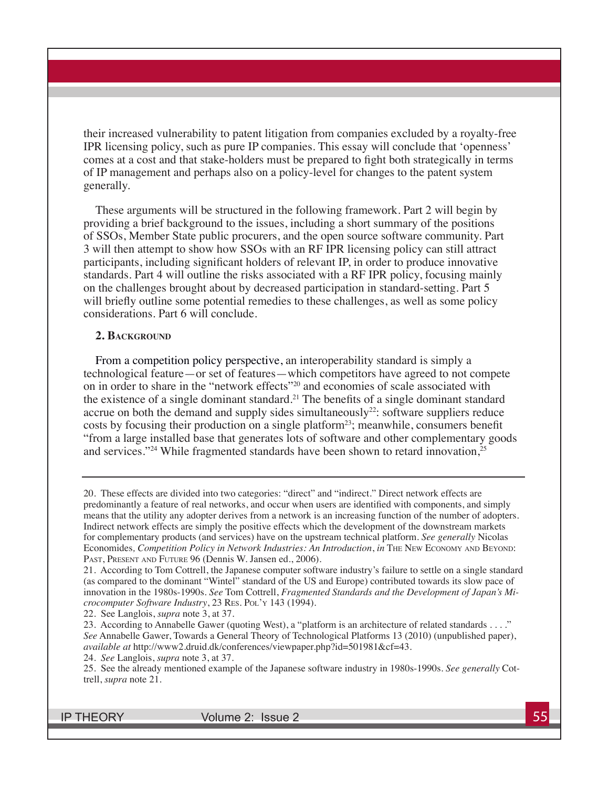their increased vulnerability to patent litigation from companies excluded by a royalty-free IPR licensing policy, such as pure IP companies. This essay will conclude that 'openness' comes at a cost and that stake-holders must be prepared to fight both strategically in terms of IP management and perhaps also on a policy-level for changes to the patent system generally.

These arguments will be structured in the following framework. Part 2 will begin by providing a brief background to the issues, including a short summary of the positions of SSOs, Member State public procurers, and the open source software community. Part 3 will then attempt to show how SSOs with an RF IPR licensing policy can still attract participants, including significant holders of relevant IP, in order to produce innovative standards. Part 4 will outline the risks associated with a RF IPR policy, focusing mainly on the challenges brought about by decreased participation in standard-setting. Part 5 will briefly outline some potential remedies to these challenges, as well as some policy considerations. Part 6 will conclude.

#### **2. Background**

From a competition policy perspective, an interoperability standard is simply a technological feature—or set of features—which competitors have agreed to not compete on in order to share in the "network effects"20 and economies of scale associated with the existence of a single dominant standard.<sup>21</sup> The benefits of a single dominant standard accrue on both the demand and supply sides simultaneously<sup>22</sup>: software suppliers reduce costs by focusing their production on a single platform<sup>23</sup>; meanwhile, consumers benefit "from a large installed base that generates lots of software and other complementary goods and services."<sup>24</sup> While fragmented standards have been shown to retard innovation,<sup>25</sup>

22. See Langlois, *supra* note 3, at 37.

IP THEORY Volume 2: Issue 2

<sup>20.</sup> These effects are divided into two categories: "direct" and "indirect." Direct network effects are predominantly a feature of real networks, and occur when users are identified with components, and simply means that the utility any adopter derives from a network is an increasing function of the number of adopters. Indirect network effects are simply the positive effects which the development of the downstream markets for complementary products (and services) have on the upstream technical platform. *See generally* Nicolas Economides*, Competition Policy in Network Industries: An Introduction*, *in* The New Economy and Beyond: Past, Present and Future 96 (Dennis W. Jansen ed., 2006).

<sup>21.</sup> According to Tom Cottrell, the Japanese computer software industry's failure to settle on a single standard (as compared to the dominant "Wintel" standard of the US and Europe) contributed towards its slow pace of innovation in the 1980s-1990s. *See* Tom Cottrell, *Fragmented Standards and the Development of Japan's Microcomputer Software Industry*, 23 Res. Pol'y 143 (1994).

<sup>23.</sup> According to Annabelle Gawer (quoting West), a "platform is an architecture of related standards . . . ." *See* Annabelle Gawer, Towards a General Theory of Technological Platforms 13 (2010) (unpublished paper), *available at* http://www2.druid.dk/conferences/viewpaper.php?id=501981&cf=43.

<sup>24.</sup> *See* Langlois, *supra* note 3, at 37.

<sup>25.</sup> See the already mentioned example of the Japanese software industry in 1980s-1990s. *See generally* Cottrell, *supra* note 21.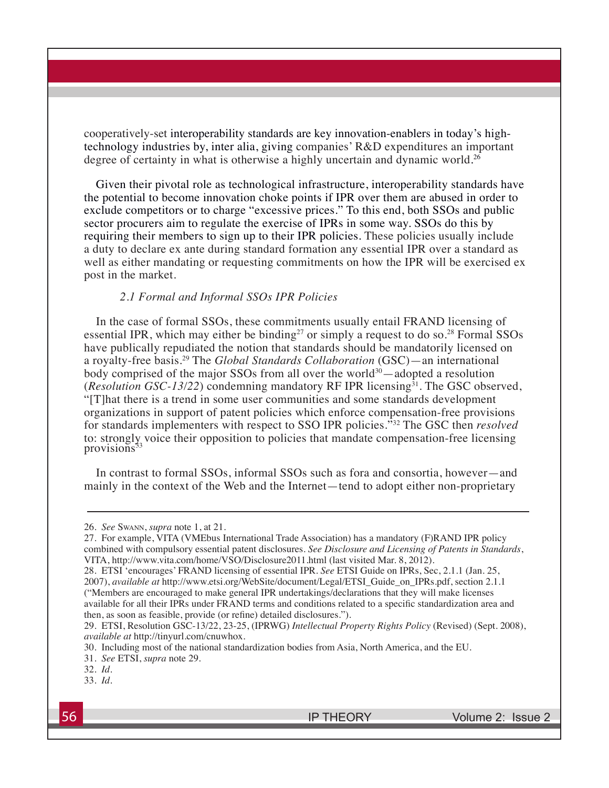cooperatively-set interoperability standards are key innovation-enablers in today's hightechnology industries by, inter alia, giving companies' R&D expenditures an important degree of certainty in what is otherwise a highly uncertain and dynamic world.<sup>26</sup>

Given their pivotal role as technological infrastructure, interoperability standards have the potential to become innovation choke points if IPR over them are abused in order to exclude competitors or to charge "excessive prices." To this end, both SSOs and public sector procurers aim to regulate the exercise of IPRs in some way. SSOs do this by requiring their members to sign up to their IPR policies. These policies usually include a duty to declare ex ante during standard formation any essential IPR over a standard as well as either mandating or requesting commitments on how the IPR will be exercised ex post in the market.

#### *2.1 Formal and Informal SSOs IPR Policies*

In the case of formal SSOs, these commitments usually entail FRAND licensing of essential IPR, which may either be binding<sup>27</sup> or simply a request to do so.<sup>28</sup> Formal SSOs have publically repudiated the notion that standards should be mandatorily licensed on a royalty-free basis.29 The *Global Standards Collaboration* (GSC)—an international body comprised of the major SSOs from all over the world $30$ —adopted a resolution (*Resolution GSC-13/22*) condemning mandatory RF IPR licensing<sup>31</sup>. The GSC observed, "[T]hat there is a trend in some user communities and some standards development organizations in support of patent policies which enforce compensation-free provisions for standards implementers with respect to SSO IPR policies."32 The GSC then *resolved* to: strongly voice their opposition to policies that mandate compensation-free licensing provisions<sup>33</sup>

In contrast to formal SSOs, informal SSOs such as fora and consortia, however—and mainly in the context of the Web and the Internet—tend to adopt either non-proprietary

27. For example, VITA (VMEbus International Trade Association) has a mandatory (F)RAND IPR policy combined with compulsory essential patent disclosures. *See Disclosure and Licensing of Patents in Standards*, VITA, http://www.vita.com/home/VSO/Disclosure2011.html (last visited Mar. 8, 2012).

28. ETSI 'encourages' FRAND licensing of essential IPR. *See* ETSI Guide on IPRs, Sec, 2.1.1 (Jan. 25, 2007), *available at* http://www.etsi.org/WebSite/document/Legal/ETSI\_Guide\_on\_IPRs.pdf, section 2.1.1 ("Members are encouraged to make general IPR undertakings/declarations that they will make licenses available for all their IPRs under FRAND terms and conditions related to a specific standardization area and then, as soon as feasible, provide (or refine) detailed disclosures.").

<sup>26.</sup> *See* Swann, *supra* note 1, at 21.

<sup>29.</sup> ETSI, Resolution GSC-13/22, 23-25, (IPRWG) *Intellectual Property Rights Policy* (Revised) (Sept. 2008), *available at* http://tinyurl.com/cnuwhox.

<sup>30.</sup> Including most of the national standardization bodies from Asia, North America, and the EU.

<sup>31.</sup> *See* ETSI, *supra* note 29.

<sup>32.</sup> *Id.*

<sup>33.</sup> *Id.*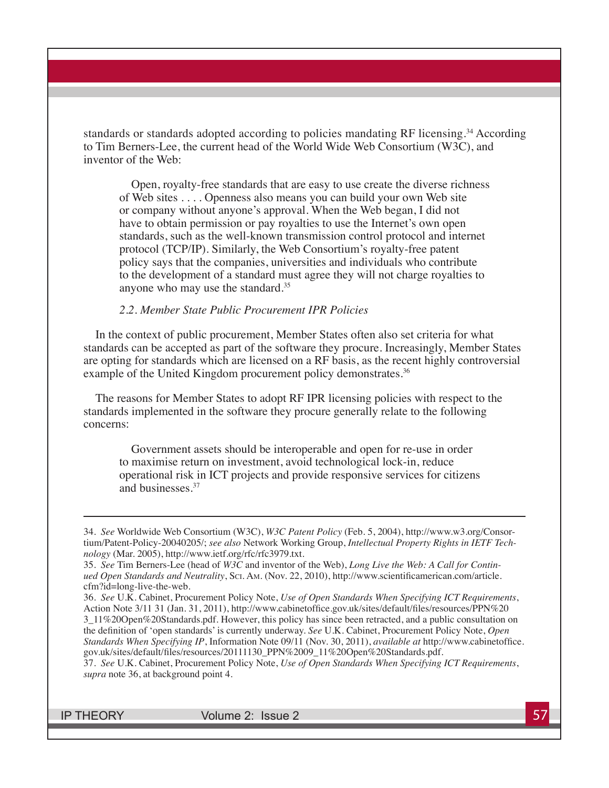standards or standards adopted according to policies mandating RF licensing.34 According to Tim Berners-Lee, the current head of the World Wide Web Consortium (W3C), and inventor of the Web:

Open, royalty-free standards that are easy to use create the diverse richness of Web sites . . . . Openness also means you can build your own Web site or company without anyone's approval. When the Web began, I did not have to obtain permission or pay royalties to use the Internet's own open standards, such as the well-known transmission control protocol and internet protocol (TCP/IP). Similarly, the Web Consortium's royalty-free patent policy says that the companies, universities and individuals who contribute to the development of a standard must agree they will not charge royalties to anyone who may use the standard. 35

#### *2.2. Member State Public Procurement IPR Policies*

In the context of public procurement, Member States often also set criteria for what standards can be accepted as part of the software they procure. Increasingly, Member States are opting for standards which are licensed on a RF basis, as the recent highly controversial example of the United Kingdom procurement policy demonstrates.<sup>36</sup>

The reasons for Member States to adopt RF IPR licensing policies with respect to the standards implemented in the software they procure generally relate to the following concerns:

Government assets should be interoperable and open for re-use in order to maximise return on investment, avoid technological lock-in, reduce operational risk in ICT projects and provide responsive services for citizens and businesses.<sup>37</sup>

IP THEORY  $\sim$  Volume 2: Issue 2  $\sim$  57

<sup>34.</sup> *See* Worldwide Web Consortium (W3C), *W3C Patent Policy* (Feb. 5, 2004), http://www.w3.org/Consortium/Patent-Policy-20040205/; *see also* Network Working Group, *Intellectual Property Rights in IETF Technology* (Mar. 2005), http://www.ietf.org/rfc/rfc3979.txt.

<sup>35.</sup> *See* Tim Berners-Lee (head of *W3C* and inventor of the Web), *Long Live the Web: A Call for Continued Open Standards and Neutrality*, Sci. Am. (Nov. 22, 2010), http://www.scientificamerican.com/article. cfm?id=long-live-the-web.

<sup>36.</sup> *See* U.K. Cabinet, Procurement Policy Note, *Use of Open Standards When Specifying ICT Requirements*, Action Note 3/11 31 (Jan. 31, 2011), http://www.cabinetoffice.gov.uk/sites/default/files/resources/PPN%20 3\_11%20Open%20Standards.pdf. However, this policy has since been retracted, and a public consultation on the definition of 'open standards' is currently underway. *See* U.K. Cabinet, Procurement Policy Note, *Open Standards When Specifying IP*, Information Note 09/11 (Nov. 30, 2011), *available at* http://www.cabinetoffice. gov.uk/sites/default/files/resources/20111130\_PPN%2009\_11%20Open%20Standards.pdf.

<sup>37.</sup> *See* U.K. Cabinet, Procurement Policy Note, *Use of Open Standards When Specifying ICT Requirements*, *supra* note 36, at background point 4.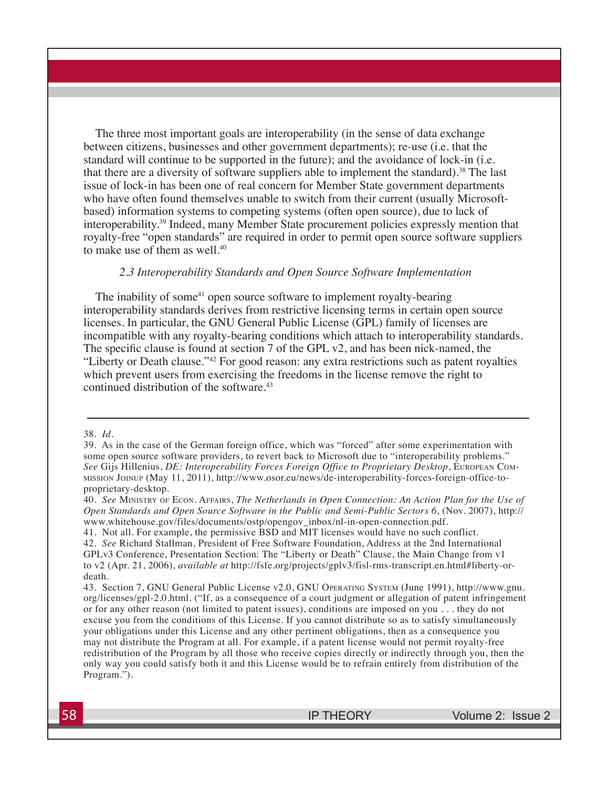The three most important goals are interoperability (in the sense of data exchange between citizens, businesses and other government departments); re-use (i.e. that the standard will continue to be supported in the future); and the avoidance of lock-in (i.e. that there are a diversity of software suppliers able to implement the standard).38 The last issue of lock-in has been one of real concern for Member State government departments who have often found themselves unable to switch from their current (usually Microsoftbased) information systems to competing systems (often open source), due to lack of interoperability.39 Indeed, many Member State procurement policies expressly mention that royalty-free "open standards" are required in order to permit open source software suppliers to make use of them as well.<sup>40</sup>

#### *2.3 Interoperability Standards and Open Source Software Implementation*

The inability of some<sup>41</sup> open source software to implement royalty-bearing interoperability standards derives from restrictive licensing terms in certain open source licenses. In particular, the GNU General Public License (GPL) family of licenses are incompatible with any royalty-bearing conditions which attach to interoperability standards. The specific clause is found at section 7 of the GPL v2, and has been nick-named, the "Liberty or Death clause."42 For good reason: any extra restrictions such as patent royalties which prevent users from exercising the freedoms in the license remove the right to continued distribution of the software.<sup>43</sup>

<sup>38.</sup> *Id.*

<sup>39.</sup> As in the case of the German foreign office, which was "forced" after some experimentation with some open source software providers, to revert back to Microsoft due to "interoperability problems." *See* Gijs Hillenius, *DE: Interoperability Forces Foreign Office to Proprietary Desktop*, European Commission Joinup (May 11, 2011), http://www.osor.eu/news/de-interoperability-forces-foreign-office-toproprietary-desktop.

<sup>40.</sup> *See* Ministry of Econ. Affairs, *The Netherlands in Open Connection: An Action Plan for the Use of Open Standards and Open Source Software in the Public and Semi-Public Sectors 6*, (Nov. 2007), http:// www.whitehouse.gov/files/documents/ostp/opengov\_inbox/nl-in-open-connection.pdf.

<sup>41.</sup> Not all. For example, the permissive BSD and MIT licenses would have no such conflict.

<sup>42.</sup> *See* Richard Stallman, President of Free Software Foundation, Address at the 2nd International GPLv3 Conference, Presentation Section: The "Liberty or Death" Clause, the Main Change from v1 to v2 (Apr. 21, 2006), *available at* http://fsfe.org/projects/gplv3/fisl-rms-transcript.en.html#liberty-ordeath.

<sup>43.</sup> Section 7, GNU General Public License v2.0, GNU Operating System (June 1991), http://www.gnu. org/licenses/gpl-2.0.html. ("If, as a consequence of a court judgment or allegation of patent infringement or for any other reason (not limited to patent issues), conditions are imposed on you . . . they do not excuse you from the conditions of this License. If you cannot distribute so as to satisfy simultaneously your obligations under this License and any other pertinent obligations, then as a consequence you may not distribute the Program at all. For example, if a patent license would not permit royalty-free redistribution of the Program by all those who receive copies directly or indirectly through you, then the only way you could satisfy both it and this License would be to refrain entirely from distribution of the Program.").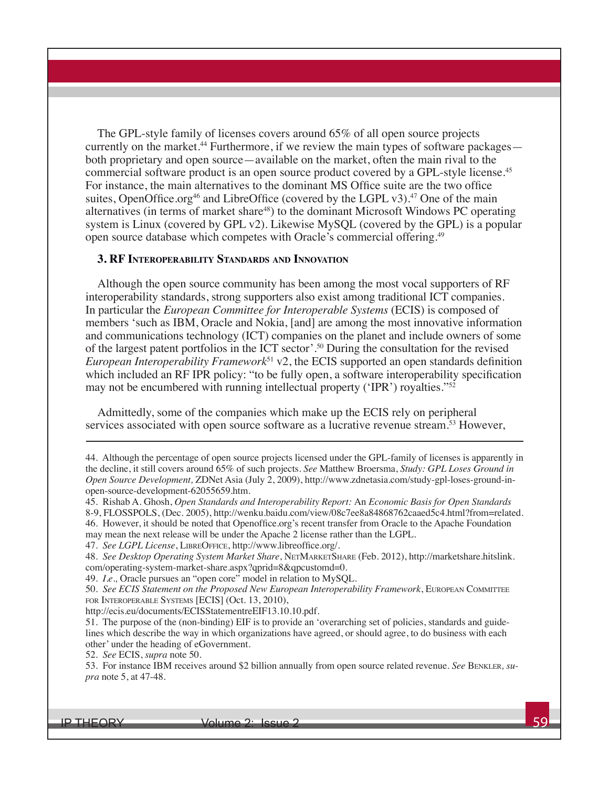The GPL-style family of licenses covers around 65% of all open source projects currently on the market.<sup>44</sup> Furthermore, if we review the main types of software packages both proprietary and open source—available on the market, often the main rival to the commercial software product is an open source product covered by a GPL-style license.<sup>45</sup> For instance, the main alternatives to the dominant MS Office suite are the two office suites, OpenOffice.org<sup>46</sup> and LibreOffice (covered by the LGPL v3).<sup>47</sup> One of the main alternatives (in terms of market share<sup>48</sup>) to the dominant Microsoft Windows PC operating system is Linux (covered by GPL v2). Likewise MySQL (covered by the GPL) is a popular open source database which competes with Oracle's commercial offering.<sup>49</sup>

#### **3. RF Interoperability Standards and Innovation**

Although the open source community has been among the most vocal supporters of RF interoperability standards, strong supporters also exist among traditional ICT companies. In particular the *European Committee for Interoperable Systems* (ECIS) is composed of members 'such as IBM, Oracle and Nokia, [and] are among the most innovative information and communications technology (ICT) companies on the planet and include owners of some of the largest patent portfolios in the ICT sector'.50 During the consultation for the revised *European Interoperability Framework*<sup>51</sup> v2, the ECIS supported an open standards definition which included an RF IPR policy: "to be fully open, a software interoperability specification may not be encumbered with running intellectual property ('IPR') royalties."<sup>52</sup>

Admittedly, some of the companies which make up the ECIS rely on peripheral services associated with open source software as a lucrative revenue stream.53 However,

<sup>44.</sup> Although the percentage of open source projects licensed under the GPL-family of licenses is apparently in the decline, it still covers around 65% of such projects. *See* Matthew Broersma, *Study: GPL Loses Ground in Open Source Development,* ZDNet Asia (July 2, 2009), http://www.zdnetasia.com/study-gpl-loses-ground-inopen-source-development-62055659.htm.

<sup>45.</sup> Rishab A. Ghosh, *Open Standards and Interoperability Report:* An *Economic Basis for Open Standards* 

<sup>8-9,</sup> FLOSSPOLS, (Dec. 2005), http://wenku.baidu.com/view/08c7ee8a84868762caaed5c4.html?from=related.

<sup>46.</sup> However, it should be noted that Openoffice.org's recent transfer from Oracle to the Apache Foundation may mean the next release will be under the Apache 2 license rather than the LGPL.

<sup>47.</sup> *See LGPL License*, LibreOffice, http://www.libreoffice.org/.

<sup>48.</sup> See Desktop Operating System Market Share, NETMARKETSHARE (Feb. 2012), http://marketshare.hitslink. com/operating-system-market-share.aspx?qprid=8&qpcustomd=0.

<sup>49.</sup> *I.e*.*,* Oracle pursues an "open core" model in relation to MySQL.

<sup>50.</sup> *See ECIS Statement on the Proposed New European Interoperability Framework*, European Committee for Interoperable Systems [ECIS] (Oct. 13, 2010),

http://ecis.eu/documents/ECISStatementreEIF13.10.10.pdf.

<sup>51.</sup> The purpose of the (non-binding) EIF is to provide an 'overarching set of policies, standards and guidelines which describe the way in which organizations have agreed, or should agree, to do business with each other' under the heading of eGovernment.

<sup>52.</sup> *See* ECIS, *supra* note 50.

<sup>53.</sup> For instance IBM receives around \$2 billion annually from open source related revenue. *See* Benkler*, supra* note 5, at 47-48.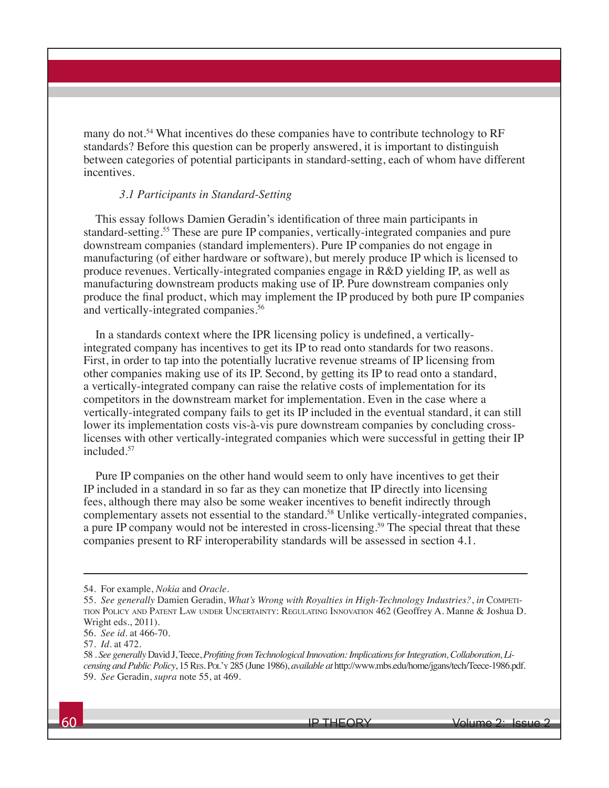many do not.54 What incentives do these companies have to contribute technology to RF standards? Before this question can be properly answered, it is important to distinguish between categories of potential participants in standard-setting, each of whom have different incentives.

#### *3.1 Participants in Standard-Setting*

This essay follows Damien Geradin's identification of three main participants in standard-setting.55 These are pure IP companies, vertically-integrated companies and pure downstream companies (standard implementers). Pure IP companies do not engage in manufacturing (of either hardware or software), but merely produce IP which is licensed to produce revenues. Vertically-integrated companies engage in R&D yielding IP, as well as manufacturing downstream products making use of IP. Pure downstream companies only produce the final product, which may implement the IP produced by both pure IP companies and vertically-integrated companies.<sup>56</sup>

In a standards context where the IPR licensing policy is undefined, a verticallyintegrated company has incentives to get its IP to read onto standards for two reasons. First, in order to tap into the potentially lucrative revenue streams of IP licensing from other companies making use of its IP. Second, by getting its IP to read onto a standard, a vertically-integrated company can raise the relative costs of implementation for its competitors in the downstream market for implementation. Even in the case where a vertically-integrated company fails to get its IP included in the eventual standard, it can still lower its implementation costs vis-à-vis pure downstream companies by concluding crosslicenses with other vertically-integrated companies which were successful in getting their IP included.57

Pure IP companies on the other hand would seem to only have incentives to get their IP included in a standard in so far as they can monetize that IP directly into licensing fees, although there may also be some weaker incentives to benefit indirectly through complementary assets not essential to the standard.<sup>58</sup> Unlike vertically-integrated companies, a pure IP company would not be interested in cross-licensing.<sup>59</sup> The special threat that these companies present to RF interoperability standards will be assessed in section 4.1.

<sup>54.</sup> For example, *Nokia* and *Oracle.*

<sup>55.</sup> *See generally* Damien Geradin, *What's Wrong with Royalties in High-Technology Industries?*, *in* Competition Policy and Patent Law under Uncertainty: Regulating Innovation 462 (Geoffrey A. Manne & Joshua D. Wright eds., 2011).

<sup>56.</sup> *See id.* at 466-70.

<sup>57.</sup> *Id.* at 472.

<sup>58 .</sup> *See generally* David J, Teece, *Profiting from Technological Innovation: Implications for Integration, Collaboration, Licensing and Public Policy*, 15 Res. Pol'y 285 (June 1986), *available at* http://www.mbs.edu/home/jgans/tech/Teece-1986.pdf. 59. *See* Geradin, *supra* note 55, at 469.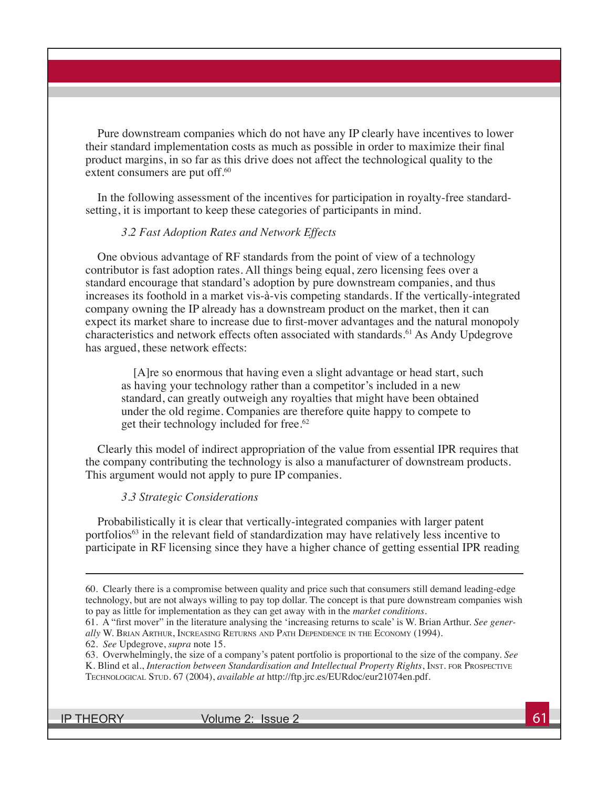Pure downstream companies which do not have any IP clearly have incentives to lower their standard implementation costs as much as possible in order to maximize their final product margins, in so far as this drive does not affect the technological quality to the extent consumers are put off.<sup>60</sup>

In the following assessment of the incentives for participation in royalty-free standardsetting, it is important to keep these categories of participants in mind.

#### *3.2 Fast Adoption Rates and Network Effects*

One obvious advantage of RF standards from the point of view of a technology contributor is fast adoption rates. All things being equal, zero licensing fees over a standard encourage that standard's adoption by pure downstream companies, and thus increases its foothold in a market vis-à-vis competing standards. If the vertically-integrated company owning the IP already has a downstream product on the market, then it can expect its market share to increase due to first-mover advantages and the natural monopoly characteristics and network effects often associated with standards.<sup>61</sup> As Andy Updegrove has argued, these network effects:

[A]re so enormous that having even a slight advantage or head start, such as having your technology rather than a competitor's included in a new standard, can greatly outweigh any royalties that might have been obtained under the old regime. Companies are therefore quite happy to compete to get their technology included for free.<sup>62</sup>

Clearly this model of indirect appropriation of the value from essential IPR requires that the company contributing the technology is also a manufacturer of downstream products. This argument would not apply to pure IP companies.

#### *3.3 Strategic Considerations*

Probabilistically it is clear that vertically-integrated companies with larger patent portfolios<sup>63</sup> in the relevant field of standardization may have relatively less incentive to participate in RF licensing since they have a higher chance of getting essential IPR reading

IP THEORY  $V$  volume 2: Issue 2  $\sim$  61

<sup>60.</sup> Clearly there is a compromise between quality and price such that consumers still demand leading-edge technology, but are not always willing to pay top dollar. The concept is that pure downstream companies wish to pay as little for implementation as they can get away with in the *market conditions*.

<sup>61.</sup> A "first mover" in the literature analysing the 'increasing returns to scale' is W. Brian Arthur. *See generally* W. Brian Arthur, Increasing Returns and Path Dependence in the Economy (1994).

<sup>62.</sup> *See* Updegrove, *supra* note 15.

<sup>63.</sup> Overwhelmingly, the size of a company's patent portfolio is proportional to the size of the company. *See* K. Blind et al., *Interaction between Standardisation and Intellectual Property Rights*, INST. FOR PROSPECTIVE Technological Stud. 67 (2004), *available at* http://ftp.jrc.es/EURdoc/eur21074en.pdf.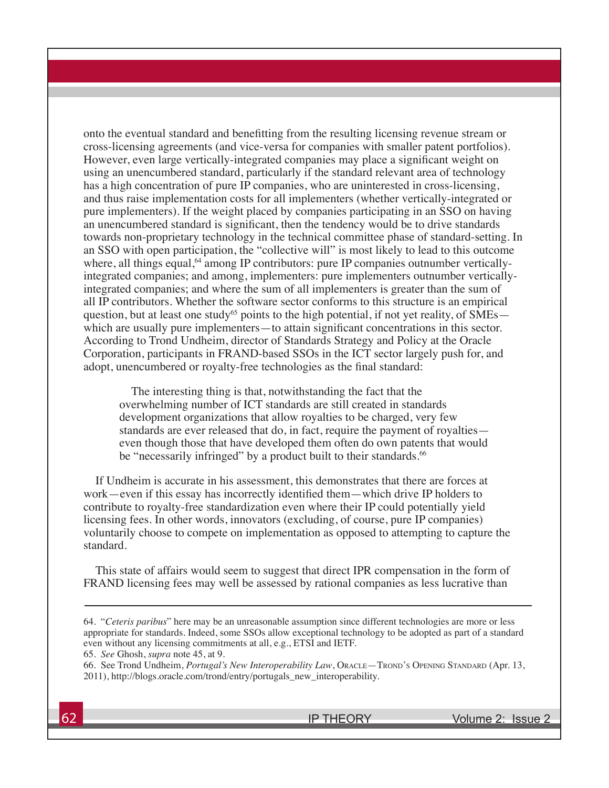onto the eventual standard and benefitting from the resulting licensing revenue stream or cross-licensing agreements (and vice-versa for companies with smaller patent portfolios). However, even large vertically-integrated companies may place a significant weight on using an unencumbered standard, particularly if the standard relevant area of technology has a high concentration of pure IP companies, who are uninterested in cross-licensing, and thus raise implementation costs for all implementers (whether vertically-integrated or pure implementers). If the weight placed by companies participating in an SSO on having an unencumbered standard is significant, then the tendency would be to drive standards towards non-proprietary technology in the technical committee phase of standard-setting. In an SSO with open participation, the "collective will" is most likely to lead to this outcome where, all things equal,<sup>64</sup> among IP contributors: pure IP companies outnumber verticallyintegrated companies; and among, implementers: pure implementers outnumber verticallyintegrated companies; and where the sum of all implementers is greater than the sum of all IP contributors. Whether the software sector conforms to this structure is an empirical question, but at least one study<sup>65</sup> points to the high potential, if not yet reality, of  $\text{SMEs}$ which are usually pure implementers—to attain significant concentrations in this sector. According to Trond Undheim, director of Standards Strategy and Policy at the Oracle Corporation, participants in FRAND-based SSOs in the ICT sector largely push for, and adopt, unencumbered or royalty-free technologies as the final standard:

The interesting thing is that, notwithstanding the fact that the overwhelming number of ICT standards are still created in standards development organizations that allow royalties to be charged, very few standards are ever released that do, in fact, require the payment of royalties even though those that have developed them often do own patents that would be "necessarily infringed" by a product built to their standards.<sup>66</sup>

If Undheim is accurate in his assessment, this demonstrates that there are forces at work—even if this essay has incorrectly identified them—which drive IP holders to contribute to royalty-free standardization even where their IP could potentially yield licensing fees. In other words, innovators (excluding, of course, pure IP companies) voluntarily choose to compete on implementation as opposed to attempting to capture the standard.

This state of affairs would seem to suggest that direct IPR compensation in the form of FRAND licensing fees may well be assessed by rational companies as less lucrative than

<sup>64. &</sup>quot;*Ceteris paribus*" here may be an unreasonable assumption since different technologies are more or less appropriate for standards. Indeed, some SSOs allow exceptional technology to be adopted as part of a standard even without any licensing commitments at all, e.g., ETSI and IETF. 65. *See* Ghosh, *supra* note 45, at 9.

<sup>66.</sup> See Trond Undheim, *Portugal's New Interoperability Law*, ORACLE—TROND'S OPENING STANDARD (Apr. 13, 2011), http://blogs.oracle.com/trond/entry/portugals\_new\_interoperability.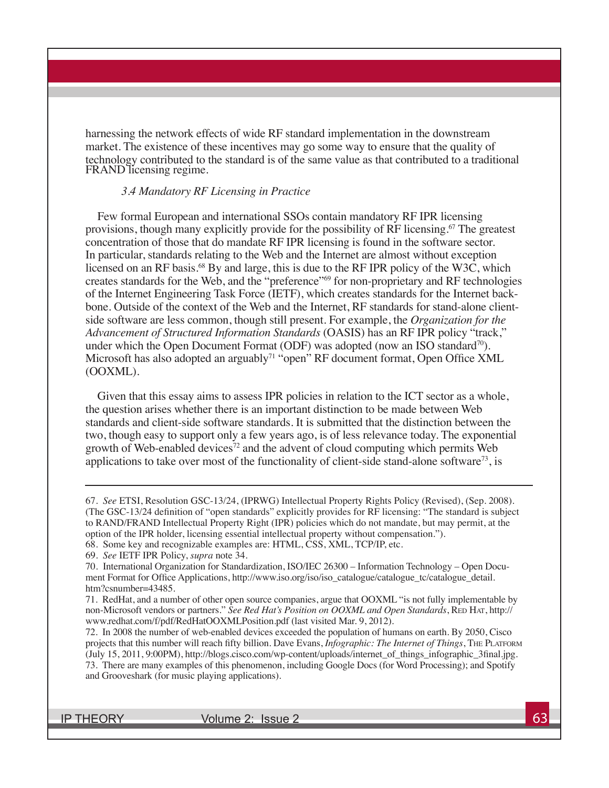harnessing the network effects of wide RF standard implementation in the downstream market. The existence of these incentives may go some way to ensure that the quality of technology contributed to the standard is of the same value as that contributed to a traditional FRAND licensing regime.

#### *3.4 Mandatory RF Licensing in Practice*

Few formal European and international SSOs contain mandatory RF IPR licensing provisions, though many explicitly provide for the possibility of RF licensing.<sup>67</sup> The greatest concentration of those that do mandate RF IPR licensing is found in the software sector. In particular, standards relating to the Web and the Internet are almost without exception licensed on an RF basis.<sup>68</sup> By and large, this is due to the RF IPR policy of the W3C, which creates standards for the Web, and the "preference"69 for non-proprietary and RF technologies of the Internet Engineering Task Force (IETF), which creates standards for the Internet backbone. Outside of the context of the Web and the Internet, RF standards for stand-alone clientside software are less common, though still present. For example, the *Organization for the Advancement of Structured Information Standards* (OASIS) has an RF IPR policy "track," under which the Open Document Format (ODF) was adopted (now an ISO standard<sup>70</sup>). Microsoft has also adopted an arguably<sup>71</sup> "open" RF document format, Open Office XML (OOXML).

Given that this essay aims to assess IPR policies in relation to the ICT sector as a whole, the question arises whether there is an important distinction to be made between Web standards and client-side software standards. It is submitted that the distinction between the two, though easy to support only a few years ago, is of less relevance today. The exponential growth of Web-enabled devices<sup>72</sup> and the advent of cloud computing which permits Web applications to take over most of the functionality of client-side stand-alone software<sup>73</sup>, is

IP THEORY  $V$  Volume 2: Issue 2  $\sim$  63

<sup>67.</sup> *See* ETSI, Resolution GSC-13/24, (IPRWG) Intellectual Property Rights Policy (Revised), (Sep. 2008). (The GSC-13/24 definition of "open standards" explicitly provides for RF licensing: "The standard is subject to RAND/FRAND Intellectual Property Right (IPR) policies which do not mandate, but may permit, at the option of the IPR holder, licensing essential intellectual property without compensation.").

<sup>68.</sup> Some key and recognizable examples are: HTML, CSS, XML, TCP/IP, etc.

<sup>69.</sup> *See* IETF IPR Policy, *supra* note 34.

<sup>70.</sup> International Organization for Standardization, ISO/IEC 26300 – Information Technology – Open Document Format for Office Applications, http://www.iso.org/iso/iso\_catalogue/catalogue\_tc/catalogue\_detail. htm?csnumber=43485.

<sup>71.</sup> RedHat, and a number of other open source companies, argue that OOXML "is not fully implementable by non-Microsoft vendors or partners." *See Red Hat's Position on OOXML and Open Standards*, RED HAT, http:// www.redhat.com/f/pdf/RedHatOOXMLPosition.pdf (last visited Mar. 9, 2012).

<sup>72.</sup> In 2008 the number of web-enabled devices exceeded the population of humans on earth. By 2050, Cisco projects that this number will reach fifty billion. Dave Evans, *Infographic: The Internet of Things*, The Platform (July 15, 2011, 9:00PM), http://blogs.cisco.com/wp-content/uploads/internet\_of\_things\_infographic\_3final.jpg. 73. There are many examples of this phenomenon, including Google Docs (for Word Processing); and Spotify and Grooveshark (for music playing applications).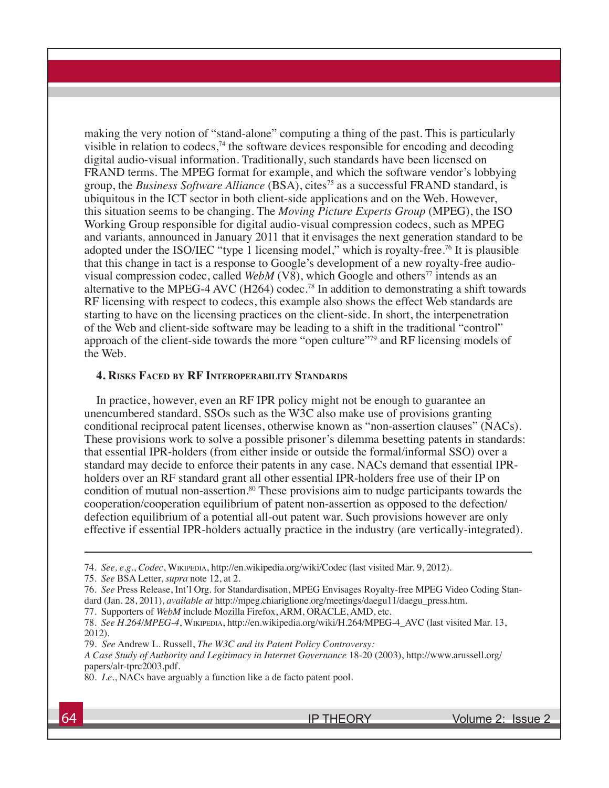making the very notion of "stand-alone" computing a thing of the past. This is particularly visible in relation to codecs,<sup>74</sup> the software devices responsible for encoding and decoding digital audio-visual information. Traditionally, such standards have been licensed on FRAND terms. The MPEG format for example, and which the software vendor's lobbying group, the *Business Software Alliance* (BSA), cites<sup>75</sup> as a successful FRAND standard, is ubiquitous in the ICT sector in both client-side applications and on the Web. However, this situation seems to be changing. The *Moving Picture Experts Group* (MPEG), the ISO Working Group responsible for digital audio-visual compression codecs, such as MPEG and variants*,* announced in January 2011 that it envisages the next generation standard to be adopted under the ISO/IEC "type 1 licensing model," which is royalty-free.76 It is plausible that this change in tact is a response to Google's development of a new royalty-free audiovisual compression codec, called *WebM*  $(V8)$ , which Google and others<sup>77</sup> intends as an alternative to the MPEG-4 AVC (H264) codec.<sup>78</sup> In addition to demonstrating a shift towards RF licensing with respect to codecs, this example also shows the effect Web standards are starting to have on the licensing practices on the client-side. In short, the interpenetration of the Web and client-side software may be leading to a shift in the traditional "control" approach of the client-side towards the more "open culture"79 and RF licensing models of the Web.

#### **4. Risks Faced by RF Interoperability Standards**

In practice, however, even an RF IPR policy might not be enough to guarantee an unencumbered standard. SSOs such as the W3C also make use of provisions granting conditional reciprocal patent licenses, otherwise known as "non-assertion clauses" (NACs). These provisions work to solve a possible prisoner's dilemma besetting patents in standards: that essential IPR-holders (from either inside or outside the formal/informal SSO) over a standard may decide to enforce their patents in any case. NACs demand that essential IPRholders over an RF standard grant all other essential IPR-holders free use of their IP on condition of mutual non-assertion.80 These provisions aim to nudge participants towards the cooperation/cooperation equilibrium of patent non-assertion as opposed to the defection/ defection equilibrium of a potential all-out patent war. Such provisions however are only effective if essential IPR-holders actually practice in the industry (are vertically-integrated).

79. *See* Andrew L. Russell, *The W3C and its Patent Policy Controversy:*

<sup>74.</sup> *See, e.g.*, *Codec*, Wikipedia, http://en.wikipedia.org/wiki/Codec (last visited Mar. 9, 2012).

<sup>75.</sup> *See* BSA Letter, *supra* note 12, at 2.

<sup>76.</sup> *See* Press Release, Int'l Org. for Standardisation, MPEG Envisages Royalty-free MPEG Video Coding Standard (Jan. 28, 2011), *available at* http://mpeg.chiariglione.org/meetings/daegu11/daegu\_press.htm.

<sup>77.</sup> Supporters of *WebM* include Mozilla Firefox, ARM, ORACLE, AMD, etc.

<sup>78.</sup> *See H.264/MPEG-4*, Wikipedia, http://en.wikipedia.org/wiki/H.264/MPEG-4\_AVC (last visited Mar. 13, 2012).

*A Case Study of Authority and Legitimacy in Internet Governance* 18-20 (2003), http://www.arussell.org/ papers/alr-tprc2003.pdf.

<sup>80.</sup> *I.e.*, NACs have arguably a function like a de facto patent pool.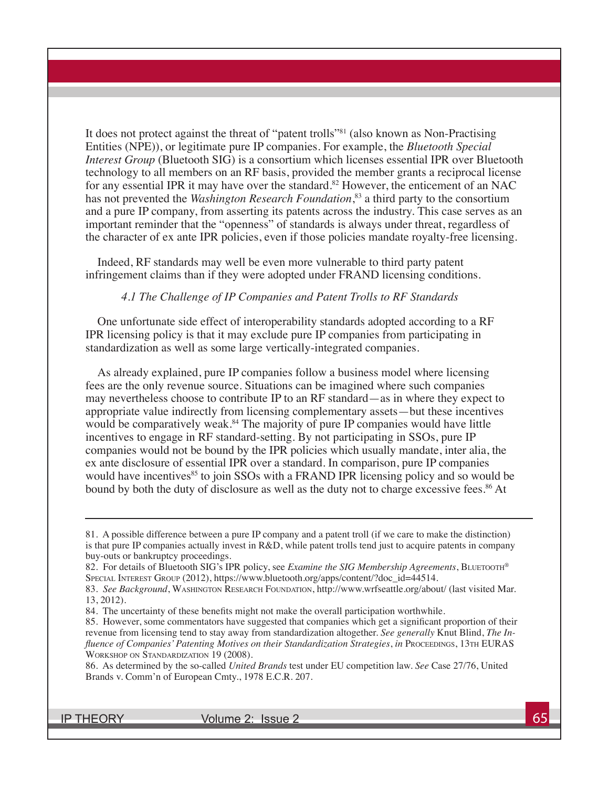It does not protect against the threat of "patent trolls"<sup>81</sup> (also known as Non-Practising Entities (NPE)), or legitimate pure IP companies. For example, the *Bluetooth Special Interest Group* (Bluetooth SIG) is a consortium which licenses essential IPR over Bluetooth technology to all members on an RF basis, provided the member grants a reciprocal license for any essential IPR it may have over the standard.<sup>82</sup> However, the enticement of an NAC has not prevented the *Washington Research Foundation*, 83 a third party to the consortium and a pure IP company, from asserting its patents across the industry. This case serves as an important reminder that the "openness" of standards is always under threat, regardless of the character of ex ante IPR policies, even if those policies mandate royalty-free licensing.

Indeed, RF standards may well be even more vulnerable to third party patent infringement claims than if they were adopted under FRAND licensing conditions.

#### *4.1 The Challenge of IP Companies and Patent Trolls to RF Standards*

One unfortunate side effect of interoperability standards adopted according to a RF IPR licensing policy is that it may exclude pure IP companies from participating in standardization as well as some large vertically-integrated companies.

As already explained, pure IP companies follow a business model where licensing fees are the only revenue source. Situations can be imagined where such companies may nevertheless choose to contribute IP to an RF standard—as in where they expect to appropriate value indirectly from licensing complementary assets—but these incentives would be comparatively weak.<sup>84</sup> The majority of pure IP companies would have little incentives to engage in RF standard-setting. By not participating in SSOs, pure IP companies would not be bound by the IPR policies which usually mandate, inter alia, the ex ante disclosure of essential IPR over a standard. In comparison, pure IP companies would have incentives<sup>85</sup> to join SSOs with a FRAND IPR licensing policy and so would be bound by both the duty of disclosure as well as the duty not to charge excessive fees.<sup>86</sup> At

IP THEORY Volume 2: Issue 2 65

<sup>81.</sup> A possible difference between a pure IP company and a patent troll (if we care to make the distinction) is that pure IP companies actually invest in R&D, while patent trolls tend just to acquire patents in company buy-outs or bankruptcy proceedings.

<sup>82.</sup> For details of Bluetooth SIG's IPR policy, see *Examine the SIG Membership Agreements*, BLUETOOTH® Special Interest Group (2012), https://www.bluetooth.org/apps/content/?doc\_id=44514.

<sup>83.</sup> See Background, WASHINGTON RESEARCH FOUNDATION, http://www.wrfseattle.org/about/ (last visited Mar. 13, 2012).

<sup>84.</sup> The uncertainty of these benefits might not make the overall participation worthwhile.

<sup>85.</sup> However, some commentators have suggested that companies which get a significant proportion of their revenue from licensing tend to stay away from standardization altogether. *See generally* Knut Blind, *The Influence of Companies' Patenting Motives on their Standardization Strategies, in PROCEEDINGS, 13TH EURAS* Workshop on Standardization 19 (2008).

<sup>86.</sup> As determined by the so-called *United Brands* test under EU competition law. *See* Case 27/76, United Brands v. Comm'n of European Cmty., 1978 E.C.R. 207.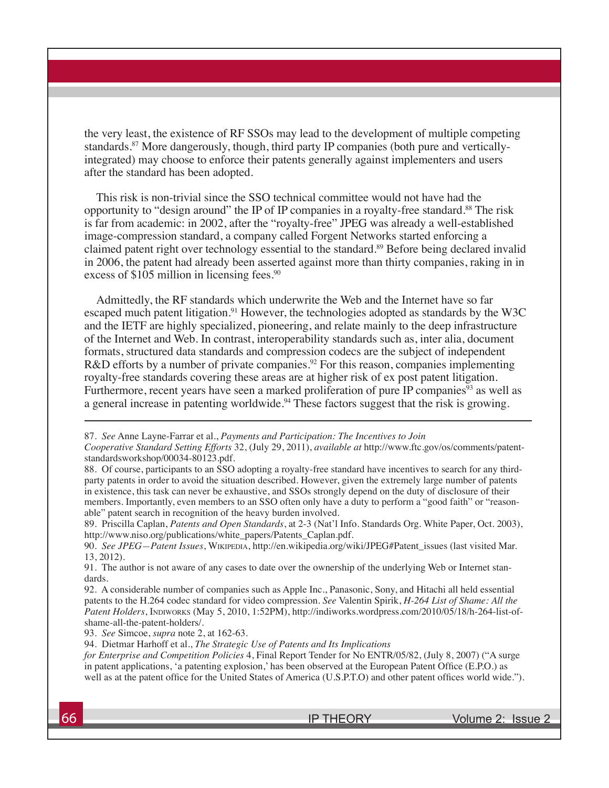the very least, the existence of RF SSOs may lead to the development of multiple competing standards.87 More dangerously, though, third party IP companies (both pure and verticallyintegrated) may choose to enforce their patents generally against implementers and users after the standard has been adopted.

This risk is non-trivial since the SSO technical committee would not have had the opportunity to "design around" the IP of IP companies in a royalty-free standard.<sup>88</sup> The risk is far from academic: in 2002, after the "royalty-free" JPEG was already a well-established image-compression standard, a company called Forgent Networks started enforcing a claimed patent right over technology essential to the standard.<sup>89</sup> Before being declared invalid in 2006, the patent had already been asserted against more than thirty companies, raking in in excess of \$105 million in licensing fees.<sup>90</sup>

Admittedly, the RF standards which underwrite the Web and the Internet have so far escaped much patent litigation.<sup>91</sup> However, the technologies adopted as standards by the W3C and the IETF are highly specialized, pioneering, and relate mainly to the deep infrastructure of the Internet and Web. In contrast, interoperability standards such as, inter alia, document formats, structured data standards and compression codecs are the subject of independent R&D efforts by a number of private companies.<sup>92</sup> For this reason, companies implementing royalty-free standards covering these areas are at higher risk of ex post patent litigation. Furthermore, recent years have seen a marked proliferation of pure IP companies<sup>93</sup> as well as a general increase in patenting worldwide.<sup>94</sup> These factors suggest that the risk is growing.

93. *See* Simcoe, *supra* note 2, at 162-63.

94. Dietmar Harhoff et al., *The Strategic Use of Patents and Its Implications*

*for Enterprise and Competition Policies* 4, Final Report Tender for No ENTR/05/82, (July 8, 2007) ("A surge in patent applications, 'a patenting explosion,' has been observed at the European Patent Office (E.P.O.) as well as at the patent office for the United States of America (U.S.P.T.O) and other patent offices world wide.").

<sup>87.</sup> *See* Anne Layne-Farrar et al., *Payments and Participation: The Incentives to Join*

*Cooperative Standard Setting Efforts* 32, (July 29, 2011), *available at* http://www.ftc.gov/os/comments/patentstandardsworkshop/00034-80123.pdf.

<sup>88.</sup> Of course, participants to an SSO adopting a royalty-free standard have incentives to search for any thirdparty patents in order to avoid the situation described. However, given the extremely large number of patents in existence, this task can never be exhaustive, and SSOs strongly depend on the duty of disclosure of their members. Importantly, even members to an SSO often only have a duty to perform a "good faith" or "reasonable" patent search in recognition of the heavy burden involved.

<sup>89.</sup> Priscilla Caplan, *Patents and Open Standards*, at 2-3 (Nat'l Info. Standards Org. White Paper, Oct. 2003), http://www.niso.org/publications/white\_papers/Patents\_Caplan.pdf.

<sup>90.</sup> *See JPEG—Patent Issues*, Wikipedia, http://en.wikipedia.org/wiki/JPEG#Patent\_issues (last visited Mar. 13, 2012).

<sup>91.</sup> The author is not aware of any cases to date over the ownership of the underlying Web or Internet standards.

<sup>92.</sup> A considerable number of companies such as Apple Inc., Panasonic, Sony, and Hitachi all held essential patents to the H.264 codec standard for video compression. *See* Valentin Spirik, *H-264 List of Shame: All the*  Patent Holders, INDIWORKS (May 5, 2010, 1:52PM), http://indiworks.wordpress.com/2010/05/18/h-264-list-ofshame-all-the-patent-holders/.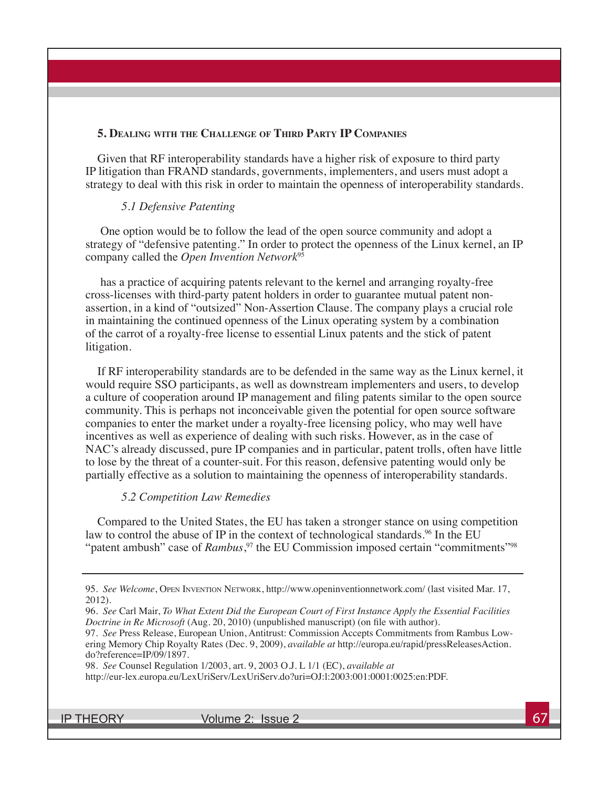#### **5. Dealing with the Challenge of Third Party IP Companies**

Given that RF interoperability standards have a higher risk of exposure to third party IP litigation than FRAND standards, governments, implementers, and users must adopt a strategy to deal with this risk in order to maintain the openness of interoperability standards.

#### *5.1 Defensive Patenting*

 One option would be to follow the lead of the open source community and adopt a strategy of "defensive patenting." In order to protect the openness of the Linux kernel, an IP company called the *Open Invention Network*<sup>95</sup>

 has a practice of acquiring patents relevant to the kernel and arranging royalty-free cross-licenses with third-party patent holders in order to guarantee mutual patent nonassertion, in a kind of "outsized" Non-Assertion Clause. The company plays a crucial role in maintaining the continued openness of the Linux operating system by a combination of the carrot of a royalty-free license to essential Linux patents and the stick of patent litigation.

If RF interoperability standards are to be defended in the same way as the Linux kernel, it would require SSO participants, as well as downstream implementers and users, to develop a culture of cooperation around IP management and filing patents similar to the open source community. This is perhaps not inconceivable given the potential for open source software companies to enter the market under a royalty-free licensing policy, who may well have incentives as well as experience of dealing with such risks. However, as in the case of NAC's already discussed, pure IP companies and in particular, patent trolls, often have little to lose by the threat of a counter-suit. For this reason, defensive patenting would only be partially effective as a solution to maintaining the openness of interoperability standards.

#### *5.2 Competition Law Remedies*

Compared to the United States, the EU has taken a stronger stance on using competition law to control the abuse of IP in the context of technological standards.<sup>96</sup> In the EU "patent ambush" case of *Rambus*,<sup>97</sup> the EU Commission imposed certain "commitments"<sup>98</sup>

98. *See* Counsel Regulation 1/2003, art. 9, 2003 O.J. L 1/1 (EC), *available at*

http://eur-lex.europa.eu/LexUriServ/LexUriServ.do?uri=OJ:l:2003:001:0001:0025:en:PDF.

IP THEORY  $V$  volume 2: Issue 2  $\sim$  67

<sup>95.</sup> *See Welcome*, Open Invention Network, http://www.openinventionnetwork.com/ (last visited Mar. 17, 2012).

<sup>96.</sup> *See* Carl Mair, *To What Extent Did the European Court of First Instance Apply the Essential Facilities Doctrine in Re Microsoft* (Aug. 20, 2010) (unpublished manuscript) (on file with author).

<sup>97.</sup> *See* Press Release, European Union, Antitrust: Commission Accepts Commitments from Rambus Lowering Memory Chip Royalty Rates (Dec. 9, 2009), *available at* http://europa.eu/rapid/pressReleasesAction. do?reference=IP/09/1897.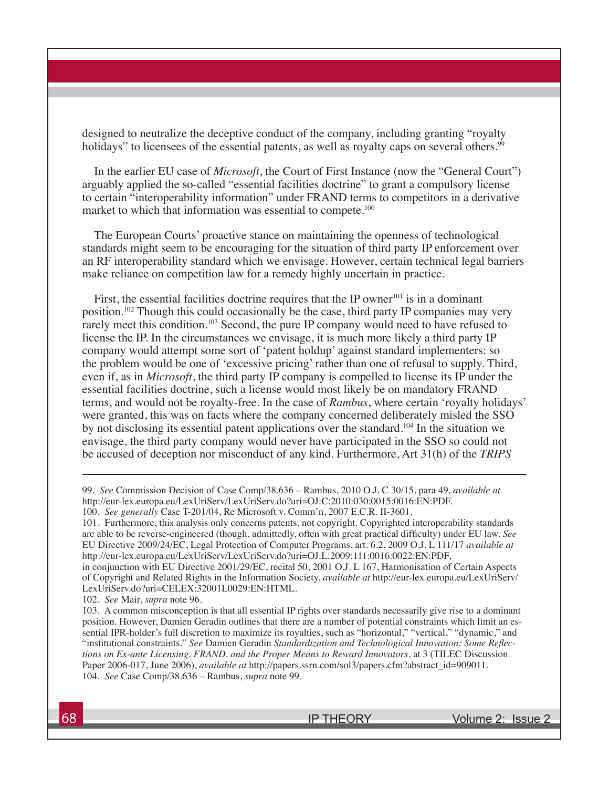designed to neutralize the deceptive conduct of the company, including granting "royalty holidays" to licensees of the essential patents, as well as royalty caps on several others.<sup>99</sup>

In the earlier EU case of *Microsoft*, the Court of First Instance (now the "General Court") arguably applied the so-called "essential facilities doctrine" to grant a compulsory license to certain "interoperability information" under FRAND terms to competitors in a derivative market to which that information was essential to compete.<sup>100</sup>

The European Courts' proactive stance on maintaining the openness of technological standards might seem to be encouraging for the situation of third party IP enforcement over an RF interoperability standard which we envisage. However, certain technical legal barriers make reliance on competition law for a remedy highly uncertain in practice.

First, the essential facilities doctrine requires that the IP owner<sup>101</sup> is in a dominant position.102 Though this could occasionally be the case, third party IP companies may very rarely meet this condition.<sup>103</sup> Second, the pure IP company would need to have refused to license the IP. In the circumstances we envisage, it is much more likely a third party IP company would attempt some sort of 'patent holdup' against standard implementers: so the problem would be one of 'excessive pricing' rather than one of refusal to supply. Third, even if, as in *Microsoft*, the third party IP company is compelled to license its IP under the essential facilities doctrine, such a license would most likely be on mandatory FRAND terms, and would not be royalty-free. In the case of *Rambus*, where certain 'royalty holidays' were granted, this was on facts where the company concerned deliberately misled the SSO by not disclosing its essential patent applications over the standard.104 In the situation we envisage, the third party company would never have participated in the SSO so could not be accused of deception nor misconduct of any kind. Furthermore, Art 31(h) of the *TRIPS* 

101. Furthermore, this analysis only concerns patents, not copyright. Copyrighted interoperability standards are able to be reverse-engineered (though, admittedly, often with great practical difficulty) under EU law. *See*  EU Directive 2009/24/EC, Legal Protection of Computer Programs, art. 6.2, 2009 O.J. L 111/17 *available at* http://eur-lex.europa.eu/LexUriServ/LexUriServ.do?uri=OJ:L:2009:111:0016:0022:EN:PDF,

<sup>99.</sup> *See* Commission Decision of Case Comp/38.636 – Rambus, 2010 O.J. C 30/15, para 49, *available at* http://eur-lex.europa.eu/LexUriServ/LexUriServ.do?uri=OJ:C:2010:030:0015:0016:EN:PDF.

<sup>100.</sup> *See generally* Case T-201/04, Re Microsoft v. Comm'n, 2007 E.C.R. II-3601.

in conjunction with EU Directive 2001/29/EC, recital 50, 2001 O.J. L 167, Harmonisation of Certain Aspects of Copyright and Related Rights in the Information Society, *available at* http://eur-lex.europa.eu/LexUriServ/ LexUriServ.do?uri=CELEX:32001L0029:EN:HTML.

<sup>102.</sup> *See* Mair, *supra* note 96.

<sup>103.</sup> A common misconception is that all essential IP rights over standards necessarily give rise to a dominant position. However, Damien Geradin outlines that there are a number of potential constraints which limit an essential IPR-holder's full discretion to maximize its royalties, such as "horizontal," "vertical," "dynamic," and "institutional constraints." *See* Damien Geradin *Standardization and Technological Innovation: Some Reflections on Ex-ante Licensing, FRAND, and the Proper Means to Reward Innovators*, at 3 (TILEC Discussion Paper 2006-017, June 2006), *available at* http://papers.ssrn.com/sol3/papers.cfm?abstract\_id=909011. 104. *See* Case Comp/38.636 – Rambus, *supra* note 99.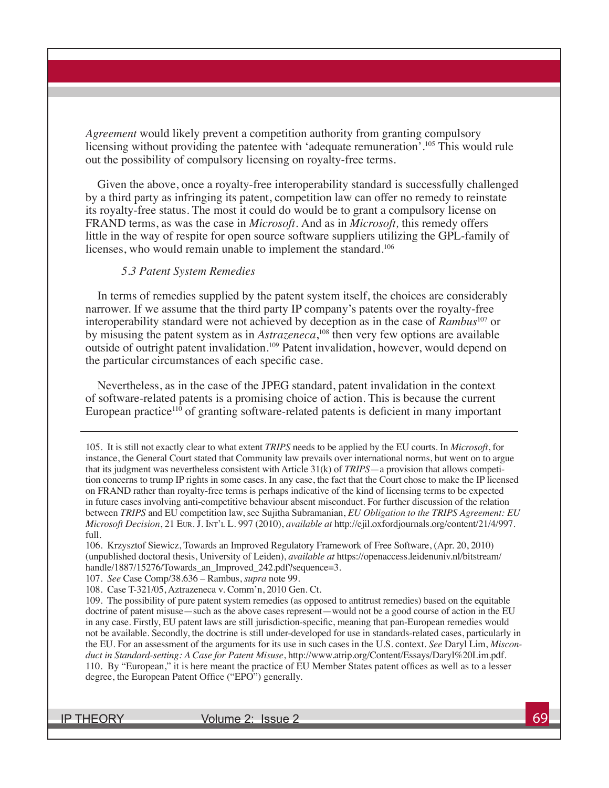*Agreement* would likely prevent a competition authority from granting compulsory licensing without providing the patentee with 'adequate remuneration'.<sup>105</sup> This would rule out the possibility of compulsory licensing on royalty-free terms.

Given the above, once a royalty-free interoperability standard is successfully challenged by a third party as infringing its patent, competition law can offer no remedy to reinstate its royalty-free status. The most it could do would be to grant a compulsory license on FRAND terms, as was the case in *Microsoft.* And as in *Microsoft,* this remedy offers little in the way of respite for open source software suppliers utilizing the GPL-family of licenses, who would remain unable to implement the standard.<sup>106</sup>

#### *5.3 Patent System Remedies*

In terms of remedies supplied by the patent system itself, the choices are considerably narrower. If we assume that the third party IP company's patents over the royalty-free interoperability standard were not achieved by deception as in the case of *Rambus*107 or by misusing the patent system as in *Astrazeneca*,<sup>108</sup> then very few options are available outside of outright patent invalidation.<sup>109</sup> Patent invalidation, however, would depend on the particular circumstances of each specific case.

Nevertheless, as in the case of the JPEG standard, patent invalidation in the context of software-related patents is a promising choice of action. This is because the current European practice<sup>110</sup> of granting software-related patents is deficient in many important

105.It is still not exactly clear to what extent *TRIPS* needs to be applied by the EU courts. In *Microsoft*, for instance, the General Court stated that Community law prevails over international norms, but went on to argue that its judgment was nevertheless consistent with Article 31(k) of *TRIPS*—a provision that allows competition concerns to trump IP rights in some cases. In any case, the fact that the Court chose to make the IP licensed on FRAND rather than royalty-free terms is perhaps indicative of the kind of licensing terms to be expected in future cases involving anti-competitive behaviour absent misconduct. For further discussion of the relation between *TRIPS* and EU competition law, see Sujitha Subramanian, *EU Obligation to the TRIPS Agreement: EU Microsoft Decision*, 21 Eur. J. Int'l L. 997 (2010), *available at* http://ejil.oxfordjournals.org/content/21/4/997. full.

107. *See* Case Comp/38.636 – Rambus, *supra* note 99.

IP THEORY Volume 2: Issue 2 69

<sup>106.</sup> Krzysztof Siewicz, Towards an Improved Regulatory Framework of Free Software, (Apr. 20, 2010) (unpublished doctoral thesis, University of Leiden), *available at* https://openaccess.leidenuniv.nl/bitstream/ handle/1887/15276/Towards\_an\_Improved\_242.pdf?sequence=3.

<sup>108.</sup> Case T-321/05, Aztrazeneca v. Comm'n, 2010 Gen. Ct.

<sup>109.</sup> The possibility of pure patent system remedies (as opposed to antitrust remedies) based on the equitable doctrine of patent misuse—such as the above cases represent—would not be a good course of action in the EU in any case. Firstly, EU patent laws are still jurisdiction-specific, meaning that pan-European remedies would not be available. Secondly, the doctrine is still under-developed for use in standards-related cases, particularly in the EU. For an assessment of the arguments for its use in such cases in the U.S. context. *See* Daryl Lim, *Misconduct in Standard-setting: A Case for Patent Misuse*, http://www.atrip.org/Content/Essays/Daryl%20Lim.pdf. 110. By "European," it is here meant the practice of EU Member States patent offices as well as to a lesser degree, the European Patent Office ("EPO") generally.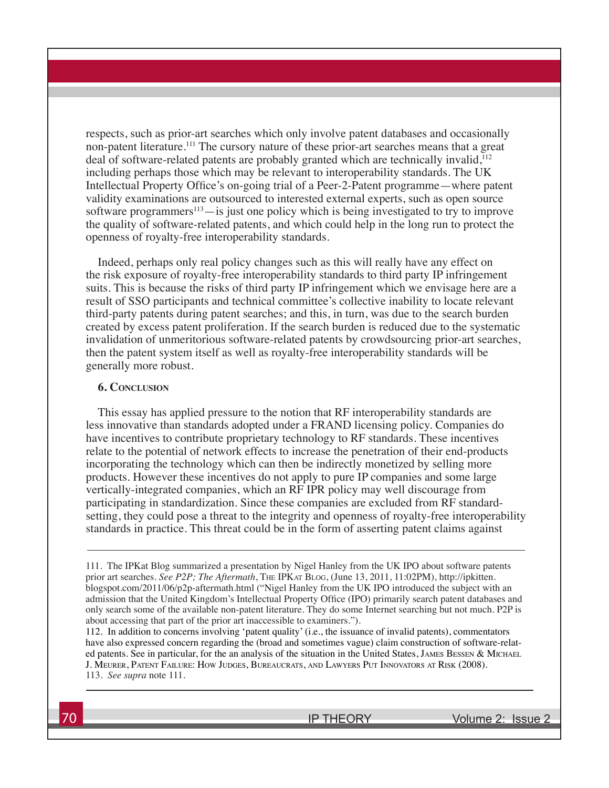respects, such as prior-art searches which only involve patent databases and occasionally non-patent literature.111 The cursory nature of these prior-art searches means that a great deal of software-related patents are probably granted which are technically invalid,<sup>112</sup> including perhaps those which may be relevant to interoperability standards. The UK Intellectual Property Office's on-going trial of a Peer-2-Patent programme—where patent validity examinations are outsourced to interested external experts, such as open source software programmers $113$ —is just one policy which is being investigated to try to improve the quality of software-related patents, and which could help in the long run to protect the openness of royalty-free interoperability standards.

Indeed, perhaps only real policy changes such as this will really have any effect on the risk exposure of royalty-free interoperability standards to third party IP infringement suits. This is because the risks of third party IP infringement which we envisage here are a result of SSO participants and technical committee's collective inability to locate relevant third-party patents during patent searches; and this, in turn, was due to the search burden created by excess patent proliferation. If the search burden is reduced due to the systematic invalidation of unmeritorious software-related patents by crowdsourcing prior-art searches, then the patent system itself as well as royalty-free interoperability standards will be generally more robust.

#### **6. Conclusion**

This essay has applied pressure to the notion that RF interoperability standards are less innovative than standards adopted under a FRAND licensing policy. Companies do have incentives to contribute proprietary technology to RF standards. These incentives relate to the potential of network effects to increase the penetration of their end-products incorporating the technology which can then be indirectly monetized by selling more products. However these incentives do not apply to pure IP companies and some large vertically-integrated companies, which an RF IPR policy may well discourage from participating in standardization. Since these companies are excluded from RF standardsetting, they could pose a threat to the integrity and openness of royalty-free interoperability standards in practice. This threat could be in the form of asserting patent claims against

112. In addition to concerns involving 'patent quality' (i.e., the issuance of invalid patents), commentators have also expressed concern regarding the (broad and sometimes vague) claim construction of software-related patents. See in particular, for the an analysis of the situation in the United States, JAMES BESSEN & MICHAEL J. Meurer, Patent Failure: How Judges, Bureaucrats, and Lawyers Put Innovators at Risk (2008). 113. *See supra* note 111.

<sup>111.</sup> The IPKat Blog summarized a presentation by Nigel Hanley from the UK IPO about software patents prior art searches. *See P2P; The Aftermath*, The IPKat Blog, (June 13, 2011, 11:02PM), http://ipkitten. blogspot.com/2011/06/p2p-aftermath.html ("Nigel Hanley from the UK IPO introduced the subject with an admission that the United Kingdom's Intellectual Property Office (IPO) primarily search patent databases and only search some of the available non-patent literature. They do some Internet searching but not much. P2P is about accessing that part of the prior art inaccessible to examiners.").